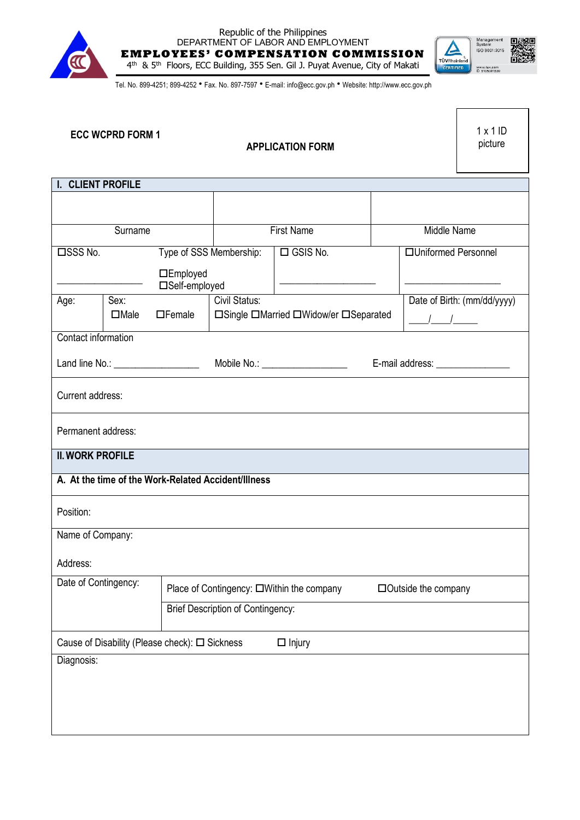

## Republic of the Philippines DEPARTMENT OF LABOR AND EMPLOYMENT **EMPLOYEES' COMPENSATION COMMISSION** 4<sup>th</sup> & 5<sup>th</sup> Floors, ECC Building, 355 Sen. Gil J. Puyat Avenue, City of Makati



Tel. No. 899-4251; 899-4252 • Fax. No. 897-7597 • E-mail: info@ecc.gov.ph • Website: http://www.ecc.gov.ph

|                                                                 | <b>ECC WCPRD FORM 1</b> |                                           | <b>APPLICATION FORM</b>         |                                       |                      | 1x1ID<br>picture                  |  |  |
|-----------------------------------------------------------------|-------------------------|-------------------------------------------|---------------------------------|---------------------------------------|----------------------|-----------------------------------|--|--|
| I. CLIENT PROFILE                                               |                         |                                           |                                 |                                       |                      |                                   |  |  |
|                                                                 |                         |                                           |                                 |                                       |                      |                                   |  |  |
| Surname                                                         |                         |                                           | <b>First Name</b>               |                                       | Middle Name          |                                   |  |  |
| □SSS No.<br>Type of SSS Membership:                             |                         | $\Box$ GSIS No.                           |                                 |                                       | □Uniformed Personnel |                                   |  |  |
| □Employed<br>□Self-employed                                     |                         |                                           |                                 |                                       |                      |                                   |  |  |
| Age:                                                            | Sex:<br>$\Box$ Male     | $\Box$ Female                             | Civil Status:                   | □Single □Married □Widow/er □Separated | $\frac{1}{2}$        | Date of Birth: (mm/dd/yyyy)       |  |  |
|                                                                 |                         |                                           |                                 |                                       |                      |                                   |  |  |
| Contact information                                             |                         |                                           |                                 |                                       |                      |                                   |  |  |
| Land line No.: ____________________                             |                         |                                           | Mobile No.: ___________________ |                                       |                      | E-mail address: _________________ |  |  |
| Current address:                                                |                         |                                           |                                 |                                       |                      |                                   |  |  |
| Permanent address:                                              |                         |                                           |                                 |                                       |                      |                                   |  |  |
| <b>II. WORK PROFILE</b>                                         |                         |                                           |                                 |                                       |                      |                                   |  |  |
| A. At the time of the Work-Related Accident/Illness             |                         |                                           |                                 |                                       |                      |                                   |  |  |
| Position:                                                       |                         |                                           |                                 |                                       |                      |                                   |  |  |
| Name of Company:                                                |                         |                                           |                                 |                                       |                      |                                   |  |  |
| Address:                                                        |                         |                                           |                                 |                                       |                      |                                   |  |  |
| Date of Contingency:                                            |                         | Place of Contingency: □Within the company |                                 | $\Box$ Outside the company            |                      |                                   |  |  |
|                                                                 |                         | <b>Brief Description of Contingency:</b>  |                                 |                                       |                      |                                   |  |  |
| Cause of Disability (Please check): □ Sickness<br>$\Box$ Injury |                         |                                           |                                 |                                       |                      |                                   |  |  |
| Diagnosis:                                                      |                         |                                           |                                 |                                       |                      |                                   |  |  |
|                                                                 |                         |                                           |                                 |                                       |                      |                                   |  |  |
|                                                                 |                         |                                           |                                 |                                       |                      |                                   |  |  |